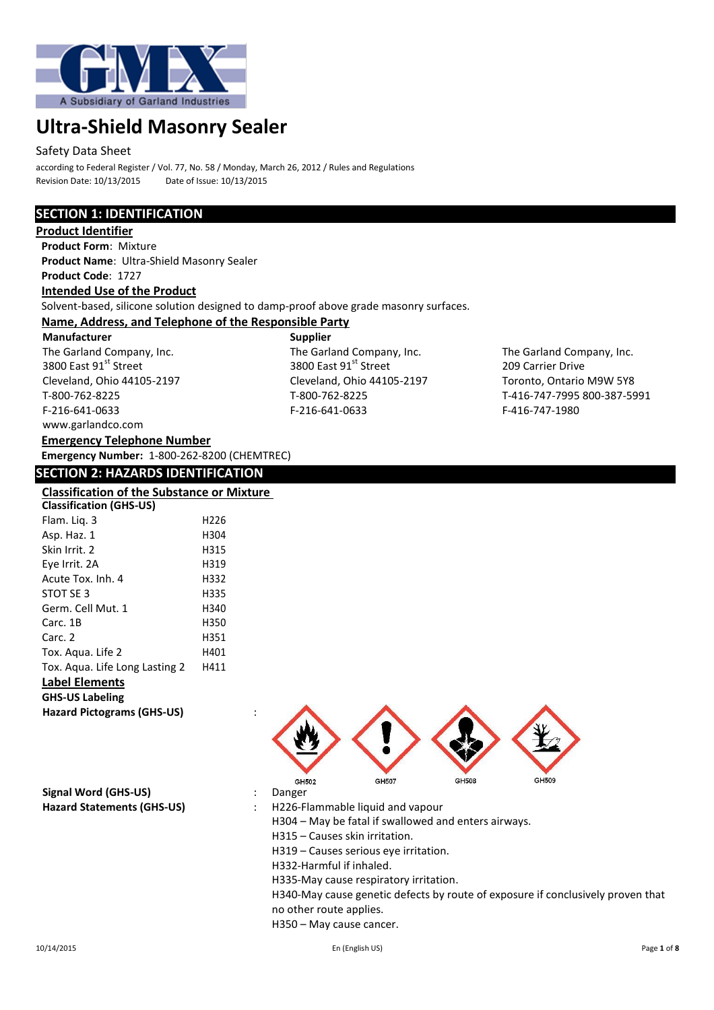

### Safety Data Sheet

according to Federal Register / Vol. 77, No. 58 / Monday, March 26, 2012 / Rules and Regulations Revision Date: 10/13/2015 Date of Issue: 10/13/2015

# **SECTION 1: IDENTIFICATION**

**Product Identifier Product Form**: Mixture **Product Name**: Ultra-Shield Masonry Sealer **Product Code**: 1727 **Intended Use of the Product** Solvent-based, silicone solution designed to damp-proof above grade masonry surfaces. **Name, Address, and Telephone of the Responsible Party Manufacturer Supplier** The Garland Company, Inc.<br>
The Garland Company, Inc.<br>
3800 East 91<sup>st</sup> Street<br>
209 Carrier Drive<br>
209 Carrier Drive 3800 East 91<sup>st</sup> Street 209 Carrier Drive Cleveland, Ohio 44105-2197<br>T-800-762-8225 T-800-762-8225 T-800-762-8225 T-800-762-8225

T-800-762-8225 T-800-762-8225 T-416-747-7995 800-387-5991 F-216-641-0633 F-216-641-0633 F-416-747-1980

## **Emergency Number:** 1-800-262-8200 (CHEMTREC)

**Emergency Telephone Number**

www.garlandco.com

## **SECTION 2: HAZARDS IDENTIFICATION**

## **Classification of the Substance or Mixture**

| <b>Classification (GHS-US)</b>    |      |  |
|-----------------------------------|------|--|
| Flam. Lig. 3                      | H226 |  |
| Asp. Haz. 1                       | H304 |  |
| Skin Irrit. 2                     | H315 |  |
| Eye Irrit. 2A                     | H319 |  |
| Acute Tox. Inh. 4                 | H332 |  |
| STOT SE 3                         | H335 |  |
| Germ. Cell Mut. 1                 | H340 |  |
| Carc. 1B                          | H350 |  |
| Carc. 2                           | H351 |  |
| Tox. Aqua. Life 2                 | H401 |  |
| Tox. Agua. Life Long Lasting 2    | H411 |  |
| <b>Label Elements</b>             |      |  |
| <b>GHS-US Labeling</b>            |      |  |
| <b>Hazard Pictograms (GHS-US)</b> |      |  |

GH507 **GH508** GH502 GH<sub>509</sub>

**Signal Word (GHS-US)** : Danger

**Hazard Statements (GHS-US)** : H226-Flammable liquid and vapour

H304 – May be fatal if swallowed and enters airways.

H315 – Causes skin irritation.

H319 – Causes serious eye irritation.

H332-Harmful if inhaled.

H335-May cause respiratory irritation.

H340-May cause genetic defects by route of exposure if conclusively proven that no other route applies.

H350 – May cause cancer.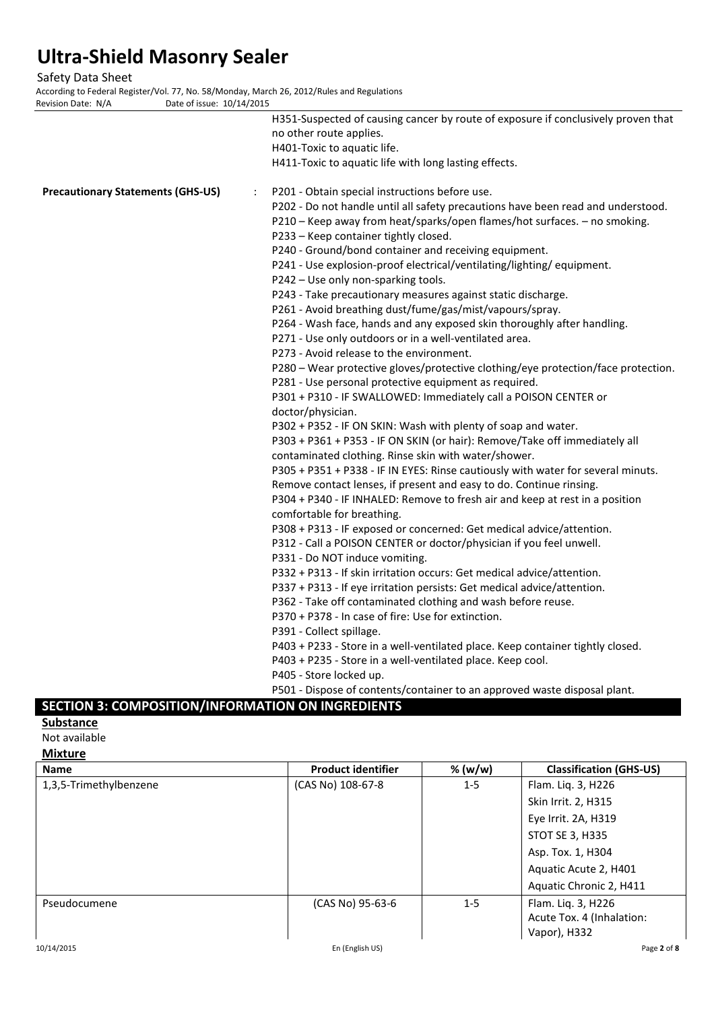Safety Data Sheet

According to Federal Register/Vol. 77, No. 58/Monday, March 26, 2012/Rules and Regulations<br>Revision Date: N/A<br>Date of issue: 10/14/2015 Date of issue:  $10/14/2015$ 

|                                          |   | H351-Suspected of causing cancer by route of exposure if conclusively proven that<br>no other route applies.<br>H401-Toxic to aquatic life.                                                                                                                                                                                                                                                                                        |
|------------------------------------------|---|------------------------------------------------------------------------------------------------------------------------------------------------------------------------------------------------------------------------------------------------------------------------------------------------------------------------------------------------------------------------------------------------------------------------------------|
|                                          |   | H411-Toxic to aquatic life with long lasting effects.                                                                                                                                                                                                                                                                                                                                                                              |
| <b>Precautionary Statements (GHS-US)</b> | ÷ | P201 - Obtain special instructions before use.<br>P202 - Do not handle until all safety precautions have been read and understood.<br>P210 - Keep away from heat/sparks/open flames/hot surfaces. - no smoking.<br>P233 - Keep container tightly closed.<br>P240 - Ground/bond container and receiving equipment.<br>P241 - Use explosion-proof electrical/ventilating/lighting/ equipment.<br>P242 - Use only non-sparking tools. |
|                                          |   | P243 - Take precautionary measures against static discharge.<br>P261 - Avoid breathing dust/fume/gas/mist/vapours/spray.<br>P264 - Wash face, hands and any exposed skin thoroughly after handling.<br>P271 - Use only outdoors or in a well-ventilated area.<br>P273 - Avoid release to the environment.                                                                                                                          |
|                                          |   | P280 - Wear protective gloves/protective clothing/eye protection/face protection.<br>P281 - Use personal protective equipment as required.<br>P301 + P310 - IF SWALLOWED: Immediately call a POISON CENTER or<br>doctor/physician.                                                                                                                                                                                                 |
|                                          |   | P302 + P352 - IF ON SKIN: Wash with plenty of soap and water.<br>P303 + P361 + P353 - IF ON SKIN (or hair): Remove/Take off immediately all<br>contaminated clothing. Rinse skin with water/shower.<br>P305 + P351 + P338 - IF IN EYES: Rinse cautiously with water for several minuts.                                                                                                                                            |
|                                          |   | Remove contact lenses, if present and easy to do. Continue rinsing.<br>P304 + P340 - IF INHALED: Remove to fresh air and keep at rest in a position<br>comfortable for breathing.                                                                                                                                                                                                                                                  |
|                                          |   | P308 + P313 - IF exposed or concerned: Get medical advice/attention.<br>P312 - Call a POISON CENTER or doctor/physician if you feel unwell.<br>P331 - Do NOT induce vomiting.                                                                                                                                                                                                                                                      |
|                                          |   | P332 + P313 - If skin irritation occurs: Get medical advice/attention.<br>P337 + P313 - If eye irritation persists: Get medical advice/attention.<br>P362 - Take off contaminated clothing and wash before reuse.<br>P370 + P378 - In case of fire: Use for extinction.                                                                                                                                                            |
|                                          |   | P391 - Collect spillage.<br>P403 + P233 - Store in a well-ventilated place. Keep container tightly closed.<br>P403 + P235 - Store in a well-ventilated place. Keep cool.<br>P405 - Store locked up.                                                                                                                                                                                                                                |
|                                          |   | P501 - Dispose of contents/container to an approved waste disposal plant.                                                                                                                                                                                                                                                                                                                                                          |

# **SECTION 3: COMPOSITION/INFORMATION ON INGREDIENTS**

**Substance**

Not available

**Mixture**

| .                      |                           |         |                                |
|------------------------|---------------------------|---------|--------------------------------|
| <b>Name</b>            | <b>Product identifier</b> | % (w/w) | <b>Classification (GHS-US)</b> |
| 1,3,5-Trimethylbenzene | (CAS No) 108-67-8         | $1 - 5$ | Flam. Liq. 3, H226             |
|                        |                           |         | Skin Irrit. 2, H315            |
|                        |                           |         | Eye Irrit. 2A, H319            |
|                        |                           |         | STOT SE 3, H335                |
|                        |                           |         | Asp. Tox. 1, H304              |
|                        |                           |         | Aquatic Acute 2, H401          |
|                        |                           |         | Aquatic Chronic 2, H411        |
| Pseudocumene           | (CAS No) 95-63-6          | $1 - 5$ | Flam. Liq. 3, H226             |
|                        |                           |         | Acute Tox. 4 (Inhalation:      |
|                        |                           |         | Vapor), H332                   |
| 10/14/2015             | En (English US)           |         | Page 2 of 8                    |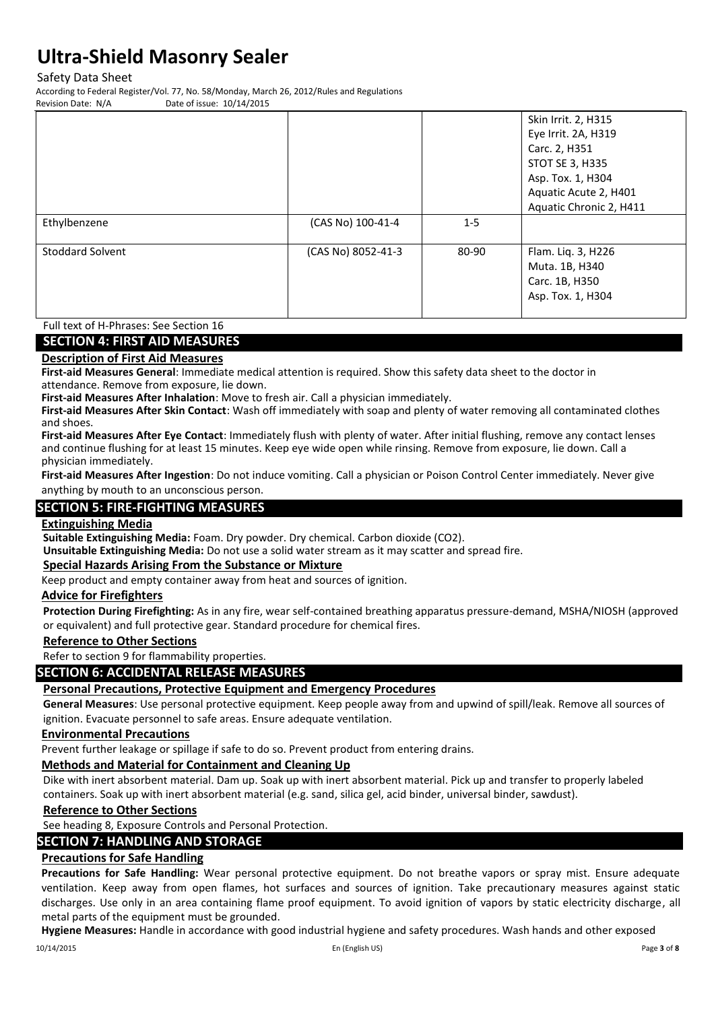Safety Data Sheet

According to Federal Register/Vol. 77, No. 58/Monday, March 26, 2012/Rules and Regulations Date of issue: 10/14/2015

|                         |                    |         | Skin Irrit. 2, H315<br>Eye Irrit. 2A, H319<br>Carc. 2, H351<br>STOT SE 3, H335<br>Asp. Tox. 1, H304<br>Aquatic Acute 2, H401<br>Aquatic Chronic 2, H411 |
|-------------------------|--------------------|---------|---------------------------------------------------------------------------------------------------------------------------------------------------------|
| Ethylbenzene            | (CAS No) 100-41-4  | $1 - 5$ |                                                                                                                                                         |
| <b>Stoddard Solvent</b> | (CAS No) 8052-41-3 | 80-90   | Flam. Liq. 3, H226<br>Muta. 1B, H340<br>Carc. 1B, H350<br>Asp. Tox. 1, H304                                                                             |

## Full text of H-Phrases: See Section 16

### **SECTION 4: FIRST AID MEASURES**

#### **Description of First Aid Measures**

**First-aid Measures General**: Immediate medical attention is required. Show this safety data sheet to the doctor in attendance. Remove from exposure, lie down.

**First-aid Measures After Inhalation**: Move to fresh air. Call a physician immediately.

**First-aid Measures After Skin Contact**: Wash off immediately with soap and plenty of water removing all contaminated clothes and shoes.

**First-aid Measures After Eye Contact**: Immediately flush with plenty of water. After initial flushing, remove any contact lenses and continue flushing for at least 15 minutes. Keep eye wide open while rinsing. Remove from exposure, lie down. Call a physician immediately.

**First-aid Measures After Ingestion**: Do not induce vomiting. Call a physician or Poison Control Center immediately. Never give anything by mouth to an unconscious person.

## **SECTION 5: FIRE-FIGHTING MEASURES**

#### **Extinguishing Media**

**Suitable Extinguishing Media:** Foam. Dry powder. Dry chemical. Carbon dioxide (CO2).

**Unsuitable Extinguishing Media:** Do not use a solid water stream as it may scatter and spread fire.

#### **Special Hazards Arising From the Substance or Mixture**

Keep product and empty container away from heat and sources of ignition.

### **Advice for Firefighters**

**Protection During Firefighting:** As in any fire, wear self-contained breathing apparatus pressure-demand, MSHA/NIOSH (approved or equivalent) and full protective gear. Standard procedure for chemical fires.

### **Reference to Other Sections**

Refer to section 9 for flammability properties.

### **SECTION 6: ACCIDENTAL RELEASE MEASURES**

### **Personal Precautions, Protective Equipment and Emergency Procedures**

**General Measures**: Use personal protective equipment. Keep people away from and upwind of spill/leak. Remove all sources of ignition. Evacuate personnel to safe areas. Ensure adequate ventilation.

#### **Environmental Precautions**

Prevent further leakage or spillage if safe to do so. Prevent product from entering drains.

### **Methods and Material for Containment and Cleaning Up**

Dike with inert absorbent material. Dam up. Soak up with inert absorbent material. Pick up and transfer to properly labeled containers. Soak up with inert absorbent material (e.g. sand, silica gel, acid binder, universal binder, sawdust).

### **Reference to Other Sections**

See heading 8, Exposure Controls and Personal Protection.

## **SECTION 7: HANDLING AND STORAGE**

## **Precautions for Safe Handling**

**Precautions for Safe Handling:** Wear personal protective equipment. Do not breathe vapors or spray mist. Ensure adequate ventilation. Keep away from open flames, hot surfaces and sources of ignition. Take precautionary measures against static discharges. Use only in an area containing flame proof equipment. To avoid ignition of vapors by static electricity discharge, all metal parts of the equipment must be grounded.

**Hygiene Measures:** Handle in accordance with good industrial hygiene and safety procedures. Wash hands and other exposed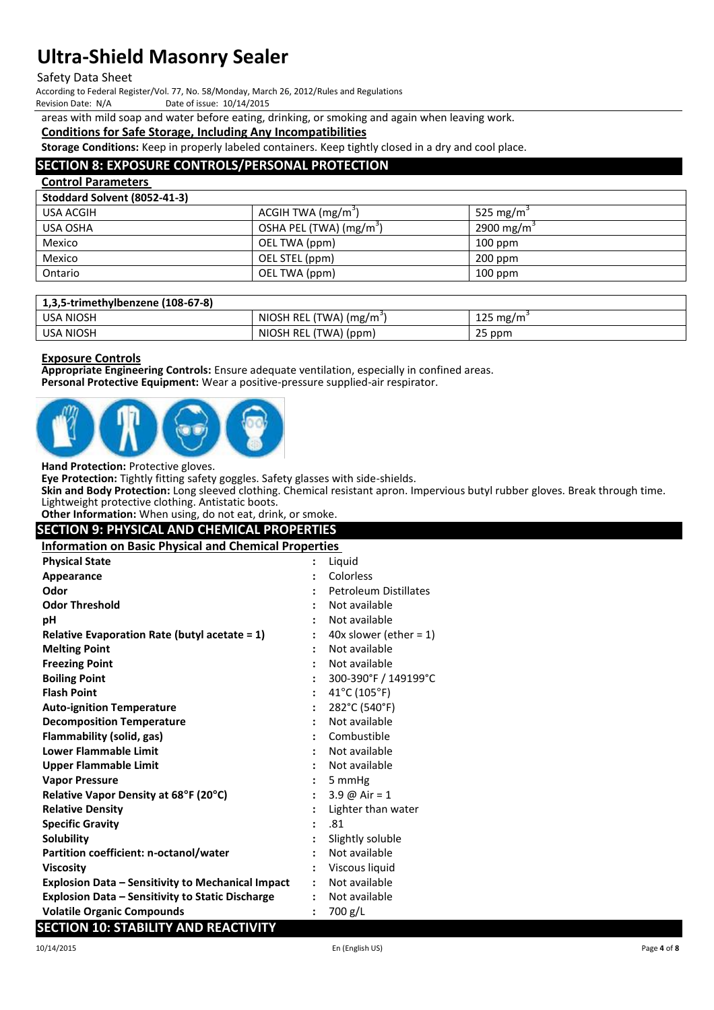### Safety Data Sheet

According to Federal Register/Vol. 77, No. 58/Monday, March 26, 2012/Rules and Regulations

Date of issue: 10/14/2015

areas with mild soap and water before eating, drinking, or smoking and again when leaving work.

### **Conditions for Safe Storage, Including Any Incompatibilities**

**Storage Conditions:** Keep in properly labeled containers. Keep tightly closed in a dry and cool place.

### **SECTION 8: EXPOSURE CONTROLS/PERSONAL PROTECTION**

| <b>Control Parameters</b>    |                                |                          |
|------------------------------|--------------------------------|--------------------------|
| Stoddard Solvent (8052-41-3) |                                |                          |
| USA ACGIH                    | ACGIH TWA (mg/m <sup>3</sup> ) | 525 mg/m <sup>3</sup>    |
| USA OSHA                     | OSHA PEL (TWA) $(mg/m3)$       | 2900 mg/m $\overline{S}$ |
| Mexico                       | OEL TWA (ppm)                  | $100$ ppm                |
| Mexico                       | OEL STEL (ppm)                 | $200$ ppm                |
| Ontario                      | OEL TWA (ppm)                  | $100$ ppm                |

| 1,3,5-trimethylbenzene (108-67-8) |                                      |          |
|-----------------------------------|--------------------------------------|----------|
| USA NIOSH                         | NIOSH REL (TWA) (mg/m <sup>3</sup> ) | 125 mg/m |
| USA NIOSH                         | NIOSH REL (TWA) (ppm)                | 25 ppm   |

### **Exposure Controls**

**Appropriate Engineering Controls:** Ensure adequate ventilation, especially in confined areas. **Personal Protective Equipment:** Wear a positive-pressure supplied-air respirator.



**Hand Protection:** Protective gloves.

**Eye Protection:** Tightly fitting safety goggles. Safety glasses with side-shields.

**Skin and Body Protection:** Long sleeved clothing. Chemical resistant apron. Impervious butyl rubber gloves. Break through time. Lightweight protective clothing. Antistatic boots.

**Other Information:** When using, do not eat, drink, or smoke.

| <b>SECTION 9: PHYSICAL AND CHEMICAL PROPERTIES</b>           |  |                                   |  |  |  |  |
|--------------------------------------------------------------|--|-----------------------------------|--|--|--|--|
| <b>Information on Basic Physical and Chemical Properties</b> |  |                                   |  |  |  |  |
| <b>Physical State</b>                                        |  | Liquid                            |  |  |  |  |
| Appearance                                                   |  | Colorless                         |  |  |  |  |
| Odor                                                         |  | <b>Petroleum Distillates</b>      |  |  |  |  |
| <b>Odor Threshold</b>                                        |  | Not available                     |  |  |  |  |
| рH                                                           |  | Not available                     |  |  |  |  |
| Relative Evaporation Rate (butyl acetate = 1)                |  | 40x slower (ether = $1$ )         |  |  |  |  |
| <b>Melting Point</b>                                         |  | Not available                     |  |  |  |  |
| <b>Freezing Point</b>                                        |  | Not available                     |  |  |  |  |
| <b>Boiling Point</b>                                         |  | 300-390°F / 149199°C              |  |  |  |  |
| <b>Flash Point</b>                                           |  | $41^{\circ}$ C (105 $^{\circ}$ F) |  |  |  |  |
| <b>Auto-ignition Temperature</b>                             |  | 282°C (540°F)                     |  |  |  |  |
| <b>Decomposition Temperature</b>                             |  | Not available                     |  |  |  |  |
| Flammability (solid, gas)                                    |  | Combustible                       |  |  |  |  |
| Lower Flammable Limit                                        |  | Not available                     |  |  |  |  |
| Upper Flammable Limit                                        |  | Not available                     |  |  |  |  |
| <b>Vapor Pressure</b>                                        |  | 5 mmHg                            |  |  |  |  |
| Relative Vapor Density at 68°F (20°C)                        |  | 3.9 $\omega$ Air = 1              |  |  |  |  |
| <b>Relative Density</b>                                      |  | Lighter than water                |  |  |  |  |
| <b>Specific Gravity</b>                                      |  | .81                               |  |  |  |  |
| <b>Solubility</b>                                            |  | Slightly soluble                  |  |  |  |  |
| Partition coefficient: n-octanol/water                       |  | Not available                     |  |  |  |  |

- **Viscosity :** Viscous liquid
- **Explosion Data – Sensitivity to Mechanical Impact :** Not available **Explosion Data – Sensitivity to Static Discharge :** Not available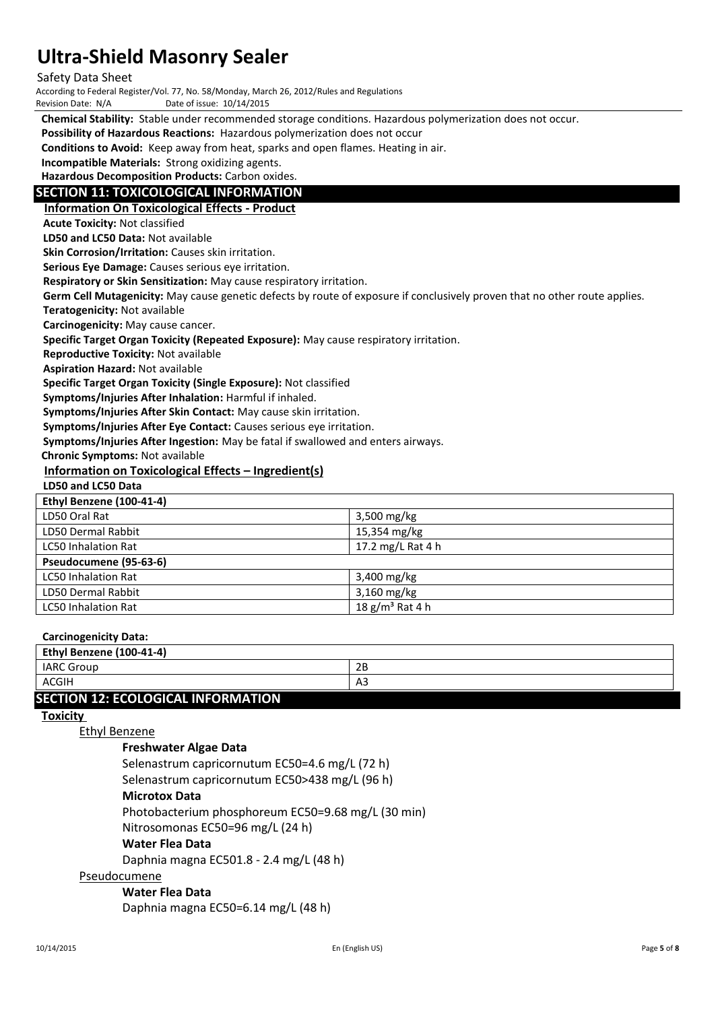Safety Data Sheet

According to Federal Register/Vol. 77, No. 58/Monday, March 26, 2012/Rules and Regulations

Date of issue: 10/14/2015

**Chemical Stability:** Stable under recommended storage conditions. Hazardous polymerization does not occur.

**Possibility of Hazardous Reactions:** Hazardous polymerization does not occur

**Conditions to Avoid:** Keep away from heat, sparks and open flames. Heating in air.

**Incompatible Materials:** Strong oxidizing agents.

**Hazardous Decomposition Products:** Carbon oxides.

### **SECTION 11: TOXICOLOGICAL INFORMATION**

**Information On Toxicological Effects - Product**

**Acute Toxicity:** Not classified

**LD50 and LC50 Data:** Not available

**Skin Corrosion/Irritation:** Causes skin irritation.

**Serious Eye Damage:** Causes serious eye irritation.

**Respiratory or Skin Sensitization:** May cause respiratory irritation.

**Germ Cell Mutagenicity:** May cause genetic defects by route of exposure if conclusively proven that no other route applies.

**Teratogenicity:** Not available

**Carcinogenicity:** May cause cancer.

**Specific Target Organ Toxicity (Repeated Exposure):** May cause respiratory irritation.

**Reproductive Toxicity:** Not available

**Aspiration Hazard:** Not available

**Specific Target Organ Toxicity (Single Exposure):** Not classified

**Symptoms/Injuries After Inhalation:** Harmful if inhaled.

**Symptoms/Injuries After Skin Contact:** May cause skin irritation.

**Symptoms/Injuries After Eye Contact:** Causes serious eye irritation.

**Symptoms/Injuries After Ingestion:** May be fatal if swallowed and enters airways.

**Chronic Symptoms:** Not available

#### **Information on Toxicological Effects – Ingredient(s)**

### **LD50 and LC50 Data**

| Ethyl Benzene (100-41-4)   |                   |
|----------------------------|-------------------|
| LD50 Oral Rat              | $3,500$ mg/kg     |
| LD50 Dermal Rabbit         | 15,354 mg/kg      |
| <b>LC50 Inhalation Rat</b> | 17.2 mg/L Rat 4 h |
| Pseudocumene (95-63-6)     |                   |
| <b>LC50 Inhalation Rat</b> | $3,400$ mg/kg     |
| LD50 Dermal Rabbit         | $3,160$ mg/kg     |
| <b>LC50 Inhalation Rat</b> | 18 $g/m3$ Rat 4 h |

### **Carcinogenicity Data:**

| Ethyl Benzene (100-41-4)                  |    |
|-------------------------------------------|----|
| <b>IARC Group</b>                         | 2B |
| ACGIH                                     | A3 |
| <b>SECTION 12: ECOLOGICAL INFORMATION</b> |    |

# **Toxicity**

Ethyl Benzene

### **Freshwater Algae Data**

Selenastrum capricornutum EC50=4.6 mg/L (72 h)

Selenastrum capricornutum EC50>438 mg/L (96 h)

### **Microtox Data**

Photobacterium phosphoreum EC50=9.68 mg/L (30 min)

Nitrosomonas EC50=96 mg/L (24 h)

### **Water Flea Data**

Daphnia magna EC501.8 - 2.4 mg/L (48 h)

## Pseudocumene

**Water Flea Data**

Daphnia magna EC50=6.14 mg/L (48 h)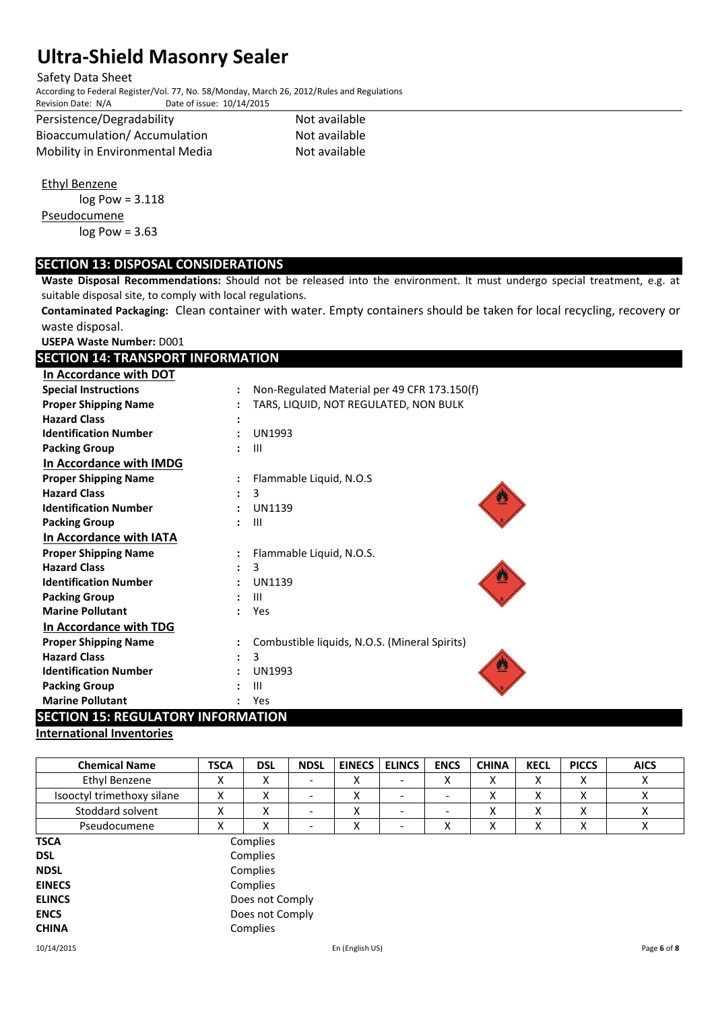### Safety Data Sheet

According to Federal Register/Vol. 77, No. 58/Monday, March 26, 2012/Rules and Regulations Date of issue: 10/14/2015

| Persistence/Degradability       |
|---------------------------------|
| Bioaccumulation/ Accumulation   |
| Mobility in Environmental Media |

Not available Not available Not available

Ethyl Benzene

log Pow = 3.118 Pseudocumene log Pow = 3.63

# **SECTION 13: DISPOSAL CONSIDERATIONS**

**Waste Disposal Recommendations:** Should not be released into the environment. It must undergo special treatment, e.g. at suitable disposal site, to comply with local regulations.

**Contaminated Packaging:** Clean container with water. Empty containers should be taken for local recycling, recovery or waste disposal.

**USEPA Waste Number:** D001

| <b>SECTION 14: TRANSPORT INFORMATION</b> |                      |                                               |  |  |  |  |  |
|------------------------------------------|----------------------|-----------------------------------------------|--|--|--|--|--|
| In Accordance with DOT                   |                      |                                               |  |  |  |  |  |
| <b>Special Instructions</b>              | $\ddot{\cdot}$       | Non-Regulated Material per 49 CFR 173.150(f)  |  |  |  |  |  |
| <b>Proper Shipping Name</b>              |                      | TARS, LIQUID, NOT REGULATED, NON BULK         |  |  |  |  |  |
| <b>Hazard Class</b>                      |                      |                                               |  |  |  |  |  |
| <b>Identification Number</b>             |                      | <b>UN1993</b>                                 |  |  |  |  |  |
| <b>Packing Group</b>                     |                      | $\mathbf{III}$                                |  |  |  |  |  |
| In Accordance with IMDG                  |                      |                                               |  |  |  |  |  |
| <b>Proper Shipping Name</b>              | $\ddot{\phantom{a}}$ | Flammable Liquid, N.O.S                       |  |  |  |  |  |
| <b>Hazard Class</b>                      |                      | 3                                             |  |  |  |  |  |
| <b>Identification Number</b>             | $\ddot{\phantom{a}}$ | <b>UN1139</b>                                 |  |  |  |  |  |
| <b>Packing Group</b>                     | $\ddot{\phantom{0}}$ | Ш                                             |  |  |  |  |  |
| In Accordance with IATA                  |                      |                                               |  |  |  |  |  |
| <b>Proper Shipping Name</b>              |                      | Flammable Liquid, N.O.S.                      |  |  |  |  |  |
| <b>Hazard Class</b>                      | $\ddot{\phantom{a}}$ | 3                                             |  |  |  |  |  |
| <b>Identification Number</b>             |                      | <b>UN1139</b>                                 |  |  |  |  |  |
| <b>Packing Group</b>                     |                      | Ш                                             |  |  |  |  |  |
| <b>Marine Pollutant</b>                  | $\bullet$            | Yes                                           |  |  |  |  |  |
| In Accordance with TDG                   |                      |                                               |  |  |  |  |  |
| <b>Proper Shipping Name</b>              |                      | Combustible liquids, N.O.S. (Mineral Spirits) |  |  |  |  |  |
| <b>Hazard Class</b>                      |                      | 3                                             |  |  |  |  |  |
| <b>Identification Number</b>             |                      | <b>UN1993</b>                                 |  |  |  |  |  |
| <b>Packing Group</b>                     |                      | III                                           |  |  |  |  |  |
| <b>Marine Pollutant</b>                  |                      | Yes                                           |  |  |  |  |  |

## **SECTION 15: REGULATORY INFORMATION**

## **International Inventories**

| <b>Chemical Name</b>       | <b>TSCA</b>     | <b>DSL</b> | <b>NDSL</b> | <b>EINECS</b>   | <b>ELINCS</b>            | <b>ENCS</b> | <b>CHINA</b> | <b>KECL</b> | <b>PICCS</b> | <b>AICS</b> |
|----------------------------|-----------------|------------|-------------|-----------------|--------------------------|-------------|--------------|-------------|--------------|-------------|
| Ethyl Benzene              | x               | X          |             | x               | $\overline{\phantom{0}}$ | Χ           | x            | X           | x            | X           |
| Isooctyl trimethoxy silane | X               | X          |             | x               | $\overline{\phantom{0}}$ | -           | x            | x           | X            | X           |
| Stoddard solvent           | X               | X          |             | x               | -                        | -           | х            | X           | x            | Χ           |
| Pseudocumene               | x               | X          |             | Χ               | -                        | Χ           | Χ            | х           | x            | Χ           |
| <b>TSCA</b>                |                 | Complies   |             |                 |                          |             |              |             |              |             |
| <b>DSL</b>                 |                 | Complies   |             |                 |                          |             |              |             |              |             |
| <b>NDSL</b>                | Complies        |            |             |                 |                          |             |              |             |              |             |
| <b>EINECS</b>              | Complies        |            |             |                 |                          |             |              |             |              |             |
| <b>ELINCS</b>              | Does not Comply |            |             |                 |                          |             |              |             |              |             |
| <b>ENCS</b>                | Does not Comply |            |             |                 |                          |             |              |             |              |             |
| <b>CHINA</b>               |                 | Complies   |             |                 |                          |             |              |             |              |             |
| 10/14/2015                 |                 |            |             | En (English US) |                          |             |              |             |              | Page 6 of 8 |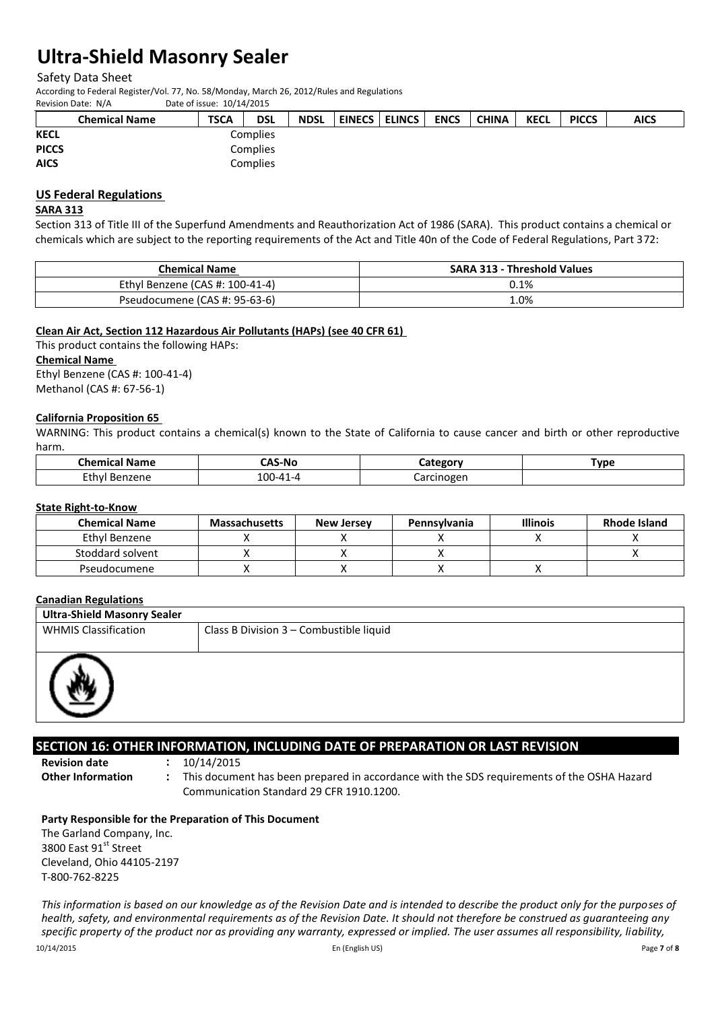Safety Data Sheet

According to Federal Register/Vol. 77, No. 58/Monday, March 26, 2012/Rules and Regulations Date of issue: 10/14/2015

|              | <b>Chemical Name</b> | <b>TSCA</b> | <b>DSL</b> | <b>NDSL</b> | <b>EINECS</b> | <b>ELINCS</b> I | <b>ENCS</b> | <b>CHINA</b> | <b>KECL</b> | <b>PICCS</b> | <b>AICS</b> |
|--------------|----------------------|-------------|------------|-------------|---------------|-----------------|-------------|--------------|-------------|--------------|-------------|
| <b>KECL</b>  |                      |             | Complies   |             |               |                 |             |              |             |              |             |
| <b>PICCS</b> |                      | Complies    |            |             |               |                 |             |              |             |              |             |
| <b>AICS</b>  |                      |             | Complies   |             |               |                 |             |              |             |              |             |

## **US Federal Regulations**

### **SARA 313**

Section 313 of Title III of the Superfund Amendments and Reauthorization Act of 1986 (SARA). This product contains a chemical or chemicals which are subject to the reporting requirements of the Act and Title 40n of the Code of Federal Regulations, Part 372:

| <b>Chemical Name</b>            | <b>SARA 313 - Threshold Values</b> |
|---------------------------------|------------------------------------|
| Ethyl Benzene (CAS #: 100-41-4) | 0.1%                               |
| Pseudocumene (CAS #: 95-63-6)   | 0%                                 |

### **Clean Air Act, Section 112 Hazardous Air Pollutants (HAPs) (see 40 CFR 61)**

This product contains the following HAPs: **Chemical Name**  Ethyl Benzene (CAS #: 100-41-4) Methanol (CAS #: 67-56-1)

### **California Proposition 65**

WARNING: This product contains a chemical(s) known to the State of California to cause cancer and birth or other reproductive harm.

| <b>Chemical Name</b> | <b>CAS-No</b> | `ategori          | <b>Type</b> |
|----------------------|---------------|-------------------|-------------|
| Ethyl<br>Benzene     | 100-41-4      | Iarcinogen<br>-a' |             |

#### **State Right-to-Know**

| <b>Chemical Name</b> | <b>Massachusetts</b> | <b>New Jersey</b> | <b>Pennsylvania</b> | <b>Illinois</b> | <b>Rhode Island</b> |
|----------------------|----------------------|-------------------|---------------------|-----------------|---------------------|
| Ethyl Benzene        |                      |                   |                     |                 |                     |
| Stoddard solvent     |                      |                   |                     |                 |                     |
| Pseudocumene         |                      |                   |                     |                 |                     |

### **Canadian Regulations**

| <b>Ultra-Shield Masonry Sealer</b> |                                         |  |  |  |
|------------------------------------|-----------------------------------------|--|--|--|
| <b>WHMIS Classification</b>        | Class B Division 3 - Combustible liquid |  |  |  |
|                                    |                                         |  |  |  |
|                                    |                                         |  |  |  |

## **SECTION 16: OTHER INFORMATION, INCLUDING DATE OF PREPARATION OR LAST REVISION**

**Revision date :** 10/14/2015

**Other Information :** This document has been prepared in accordance with the SDS requirements of the OSHA Hazard Communication Standard 29 CFR 1910.1200.

### **Party Responsible for the Preparation of This Document**

The Garland Company, Inc. 3800 East 91st Street Cleveland, Ohio 44105-2197 T-800-762-8225

 $\overline{a}$ 

*This information is based on our knowledge as of the Revision Date and is intended to describe the product only for the purposes of health, safety, and environmental requirements as of the Revision Date. It should not therefore be construed as guaranteeing any*  specific property of the product nor as providing any warranty, expressed or implied. The user assumes all responsibility, liability,